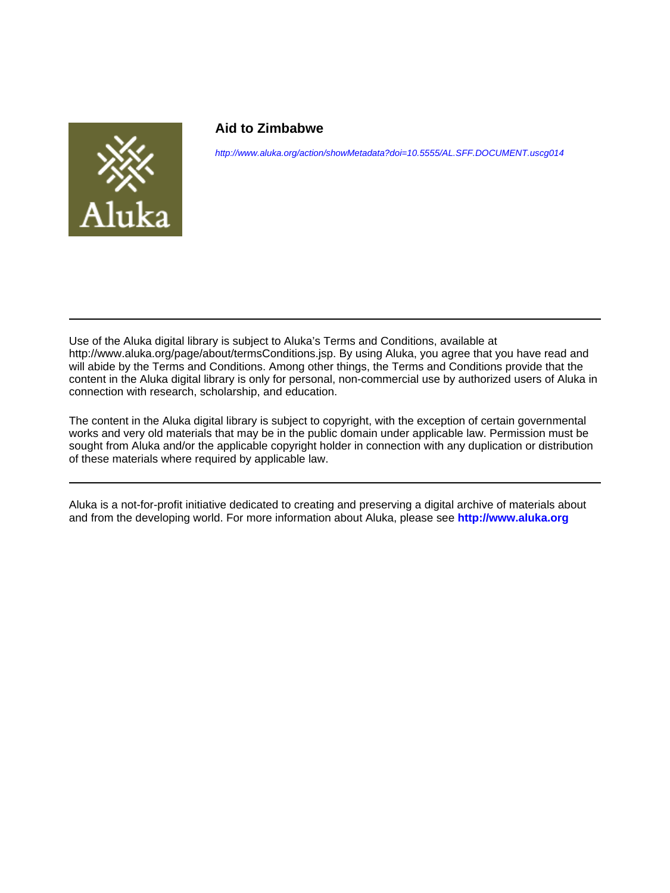

#### **Aid to Zimbabwe**

<http://www.aluka.org/action/showMetadata?doi=10.5555/AL.SFF.DOCUMENT.uscg014>

Use of the Aluka digital library is subject to Aluka's Terms and Conditions, available at http://www.aluka.org/page/about/termsConditions.jsp. By using Aluka, you agree that you have read and will abide by the Terms and Conditions. Among other things, the Terms and Conditions provide that the content in the Aluka digital library is only for personal, non-commercial use by authorized users of Aluka in connection with research, scholarship, and education.

The content in the Aluka digital library is subject to copyright, with the exception of certain governmental works and very old materials that may be in the public domain under applicable law. Permission must be sought from Aluka and/or the applicable copyright holder in connection with any duplication or distribution of these materials where required by applicable law.

Aluka is a not-for-profit initiative dedicated to creating and preserving a digital archive of materials about and from the developing world. For more information about Aluka, please see **<http://www.aluka.org>**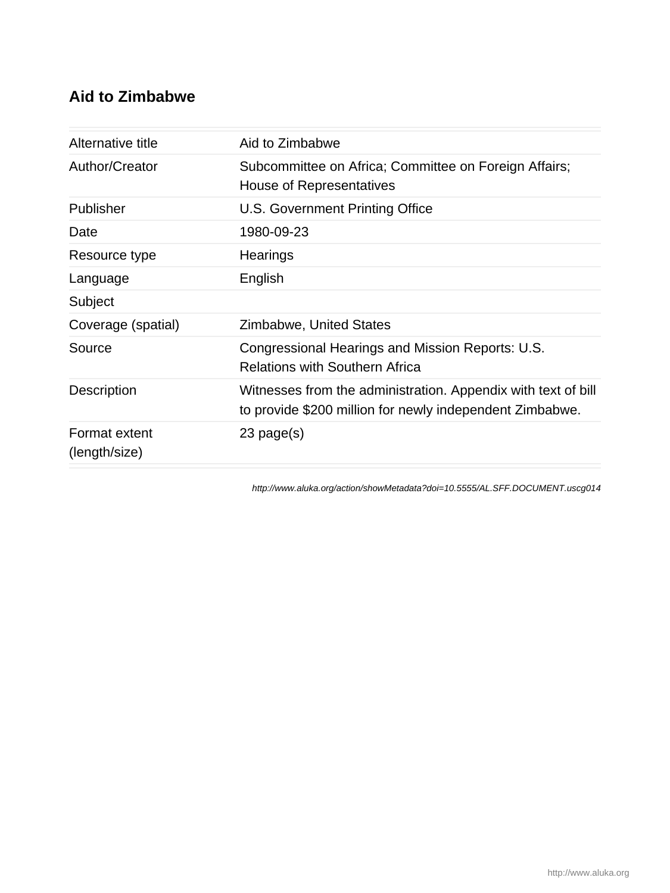### **Aid to Zimbabwe**

| Aid to Zimbabwe                                                                                                           |
|---------------------------------------------------------------------------------------------------------------------------|
| Subcommittee on Africa; Committee on Foreign Affairs;<br>House of Representatives                                         |
| U.S. Government Printing Office                                                                                           |
| 1980-09-23                                                                                                                |
| Hearings                                                                                                                  |
| English                                                                                                                   |
|                                                                                                                           |
| Zimbabwe, United States                                                                                                   |
| Congressional Hearings and Mission Reports: U.S.<br><b>Relations with Southern Africa</b>                                 |
| Witnesses from the administration. Appendix with text of bill<br>to provide \$200 million for newly independent Zimbabwe. |
| $23$ page $(s)$                                                                                                           |
|                                                                                                                           |

<http://www.aluka.org/action/showMetadata?doi=10.5555/AL.SFF.DOCUMENT.uscg014>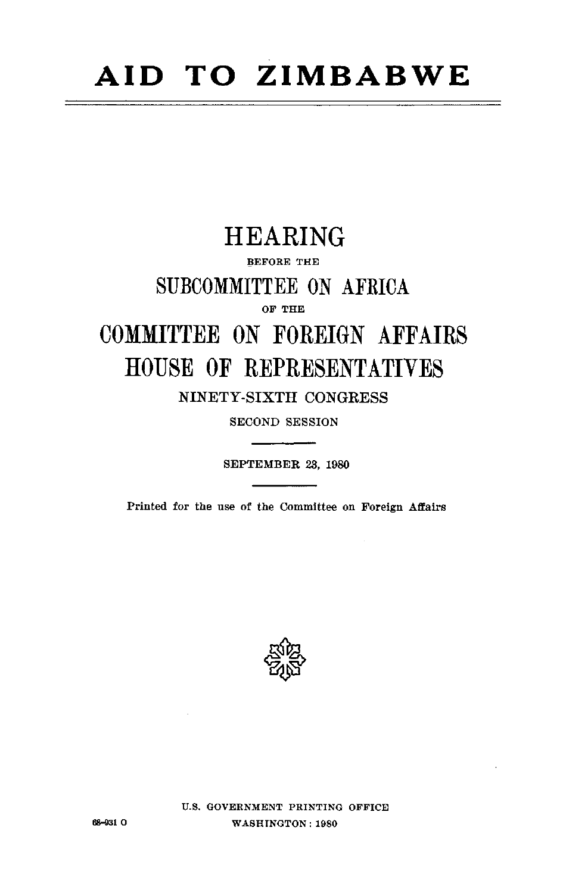# **AID TO ZIMBABWE**

## HEARING

#### BEFORE THE

### **SUBCOMMITTEE ON** AFRICA

**OF** THE

## **COMMITTEE ON FOREIGN** AFFAIRS **HOUSE** OF REPRESENTATIVES NINETY-SIXTH **CONGRESS**

**SECOND** SESSION

SEPTEMBER **23, 1980** 

Printed for the use of the Committee on Foreign Affairs



**U.S. GOVERNMENT PRINTING** OFFICE **6-931 0 WASHINGTON: 1980**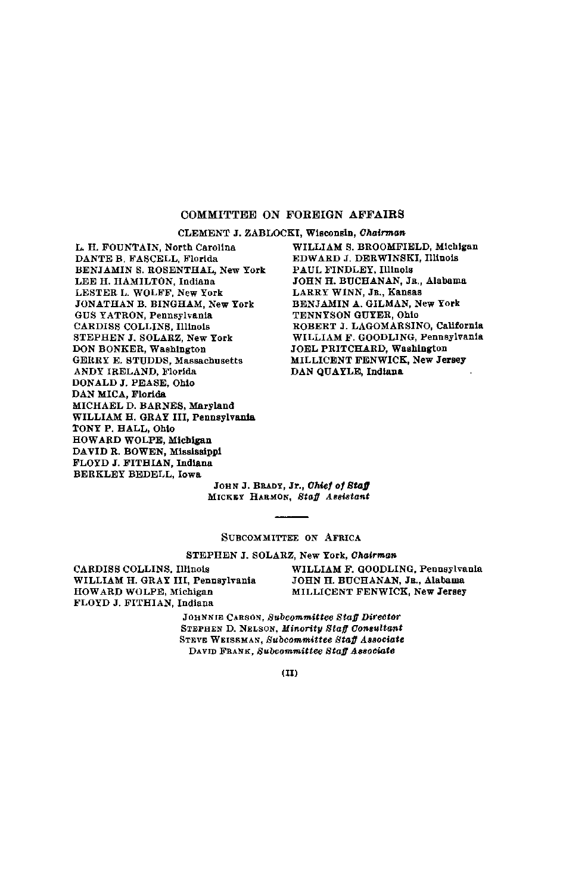#### COMMITTEE **ON** FOREIGN AFFAIRS

**CLEMENT J.** ZABLOCKI, Wisconsin, *Chairman*

L. H. **FOUNTAIN,** North Carolina **DANTE** B. **FASCELL,** Florida **BENJAMIN S. ROSENTHAL,** New York **LEE** H. **HAMILTON,** Indiana LESTER L. WOLFF, New York JONATHAN B. **BINGHAM,** New York **GUS** YATRON, Pennsylvania CARDISS **COLLINS,** Illinois **STEPHEN J.** SOLARZ, New York **DON** BONKER, Washington GERRY **E. STUDDS,** Massachusetts ANDY IRELAND, Florida **DONALD J. PEASE,** Ohio **DAN MICA,** Florida **MICHAEL D.** BARNES, Maryland WILLIAM H. GRAY III, Pennsylvania TONY P. HALL, Ohio HOWARD WOLPE, Michigan **DAVID** R. BOWEN, Mississippi FLOYD **J.** FITHIAN, Indiana BERKLEY BEDELL, Iowa

WILLIAM **S.** BROOMFIELD, Michigan EDWARD **J.** DERWINSKI, Illinois **PAUL** FINDLEY, Illinois **JOHN** H. **BUCHANAN, JR.,** Alabama LARRY **WINN, JR.,** Kansas BENJAMIN A. GILMAN, New York **TENNYSON** GUYER, Ohio ROBERT **J. LAGOMARSINO,** California WILLIAM F. GOODLING, Pennsylvania **JOEL** PRITCHARD, Washington MILLICENT FENWICK, New Jersey **DAN QUAYLE,** Indiana

**JOHN J.** BRADY, Jr., *Chief of Staff*  MICKEY **HARMON,** *Staff Assistant* 

#### SUBCOMMITTEE **ON** AFRICA

**STEPHEN J.** SOLARZ, New York, *Chairman* 

WILLIAM H. GRAY III, Pennsylvania **JOHN** H. **BUCHANAN,** JR., Alabama HOWARD WOLPE, Michigan MILLICENT FENWICK, New Jersey FLOYD **J.** FITHIAN, Indiana

CARDISS COLLINS, Illinois WILLIAM **F. GOODLING,** Pennsylvania

**JOHNNIE CARSON,** *Subcommittee Staff Director*  **STEPHEN D. NELSON,** *Minority Staff Consultant*  **STEVE WEISSMAN,** *Subcommittee Staff Associate*  DAVID FRANK, *Subcommittee Staff Associate*

 $(II)$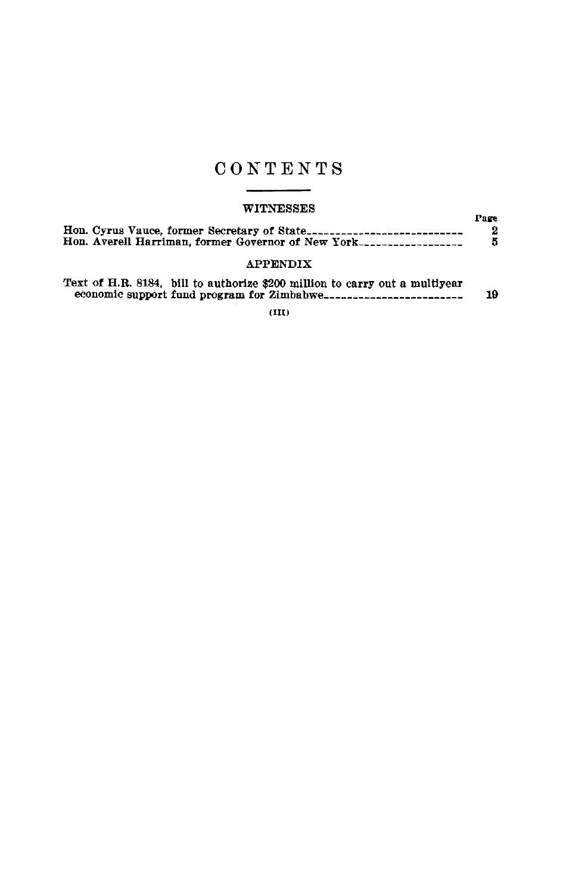### CONTENTS

#### WITNESSES

| .                                                                    | Pare |
|----------------------------------------------------------------------|------|
|                                                                      |      |
| Hon. Averell Harriman, former Governor of New York------------------ |      |
|                                                                      |      |

## APPENDIX

| Text of H.R. 8184, bill to authorize \$200 million to carry out a multiyear |    |
|-----------------------------------------------------------------------------|----|
| economic support fund program for Zimbabwe--------------------------        | 19 |
|                                                                             |    |

**(MI)**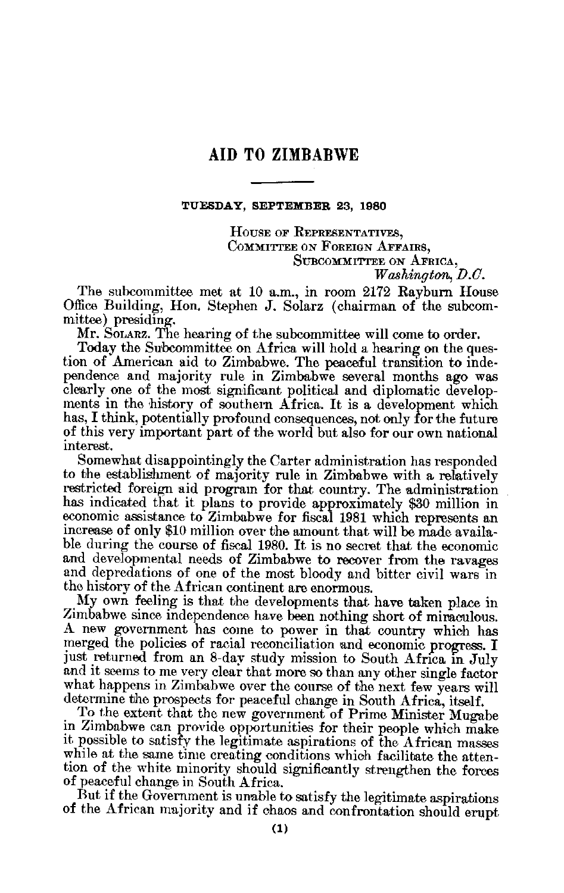#### **AID TO ZIMBABWE**

#### **TUESDAY, SEPTEMBER 23, 1980**

HOUSE OF REPRESENTATIVES, COMMITTEE **ON FOREIGN** AFFAIRS, SUBCOMMIITTEE **ON** AFRICA,

The subcommittee met at 10 a.m., in room  $2172$  Rayburn House Office Building, Hon. Stephen J. Solarz (chairman of the subcom mittee) presiding.

Mr. SOLARZ. The hearing of the subcommittee will come to order.

Today the Subcommittee on Africa will hold a hearing on the question of American aid to Zimbabwe. The peaceful transition to inde pendence and majority rule in Zimbabwe several months ago was clearly one of the most significant political and diplomatic develop ments in the history of southern Africa. It is a development which has, I think, potentially profound consequences, not only for the future of this very important part of the world but also for our own national interest.

Somewhat disappointingly the Carter administration has responded to the establishment of majority rule in Zimbabwe with a relatively restricted foreign aid program for that country. The administration has indicated that it plans to provide approximately \$30 million in economic assistance to Zimbabwe for fiscal 1981 which represents an increase of only \$10 million over the amount that will be made available during the course of fiscal 1980. It is no secret that the economic and developmental needs of Zimbabwe to recover from the ravages and depredations of one of the most bloody and bitter civil wars in the history of the African continent are enormous.

My own feeling is that the developments that have taken place in Zimbabwe since independence have been nothing short of miraculous. A new government has come to power in that country which has merged the policies of racial reconciliation and economic progress. I just returned from an 8-day study mission to South Africa in July and it seems to me very clear that more so than any other single factor what happens in Zimbabwe over the course of the next few years will determine the prospects for peaceful change in South Africa, itself.

To the extent that the new government of Prime Minister Mugabe in Zimbabwe can provide opportunities for their people which make it possible to satisfy the legitimate aspirations of the African masses while at the same time creating conditions which facilitate the attention of the white minority should significantly strengthen the forces of peaceful change in South Africa.

But if the Government is unable to satisfy the legitimate aspirations of the African majority and if chaos and confrontation should erupt

*Washington, D.C.*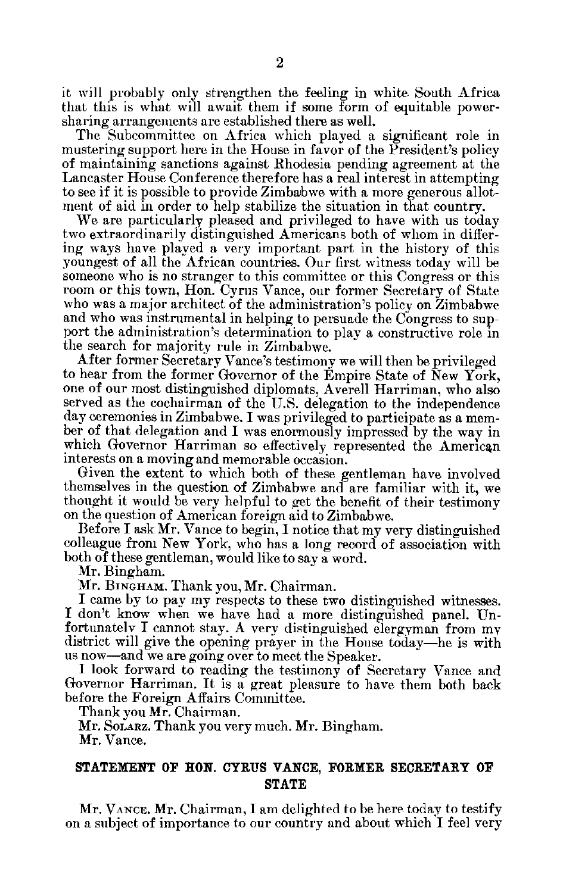it will probably only strengthen the feeling in white South Africa that this is what will await them if some form of equitable power sharing arrangements are established there as well.

The Subcommittee on Africa which played a significant role in mustering support here in the House in favor of the President's policy of maintaining sanctions against Rhodesia pending agreement at the Lancaster House Conference therefore has a real interest in attempting to see if it is possible to provide Zimbabwe with a more generous allot ment of aid in order to help stabilize the situation in that country.

We are particularly pleased and privileged to have with us today two extraordinarily distinguished Americans both of whom in differ ing ways have played a very important part in the history of this youngest of all the African countries. Our first witness today will be someone who is no stranger to this committee or this Congress or this room or this town, Hon. Cyrus Vance, our former Secretary of State who was a major architect of the administration's policy on Zimbabwe and who was instrumental in helping to persuade the Congress to sup port the administration's determination to play a constructive role in the search for majority rule in Zimbabwe.

After former Secretary Vance's testimony we will then be privileged to hear from the former Governor of the Empire State of New York, one of our most distinguished diplomats, Averell Harriman, who also served as the cochairman of the U.S. delegation to the independence day ceremonies in Zimbabwe. I was privileged to participate as a mem ber of that delegation and I was enormously impressed by the way in which Governor Harriman so effectively, represented the American interests on a moving and memorable occasion.

Given the extent to which both of these gentleman have involved themselves in the question of Zimbabwe and are familiar with it, we thought it would be very helpful to get the benefit of their testimony on the question of American foreign aid to Zimbabwe.

Before I ask Mr. Vance to begin, I notice that my very distinguished colleague from New York, who has a long record of association with both of these gentleman, would like to say a word.

Mr. Bingham.

Mr. BINGHAM. Thank you, Mr. Chairman.

I came by to pay my respects to these two distinguished witnesses. I don't know when we have had a more distinguished panel. Unfortunately I cannot stay. A very distinguished clergyman from my district will give the opening prayer in the House today-he is with us now-and we are going over to meet the Speaker.

I look forward to reading the testimony of Secretary Vance and Governor Harriman. It is a great pleasure to have them both back before the Foreign Affairs Committee.

Thank you Mr. Chairman.

Mr. SOLARZ. Thank you very much. Mr. Bingham.

Mr. Vance.

#### **STATEMENT OF RON. CYRUS VANCE, FORMER SECRETARY OF STATE**

Mr. **VANCE.** Mr. Chairman, I am delighted to be here today to testify on a subject of importance to our country and about which I feel very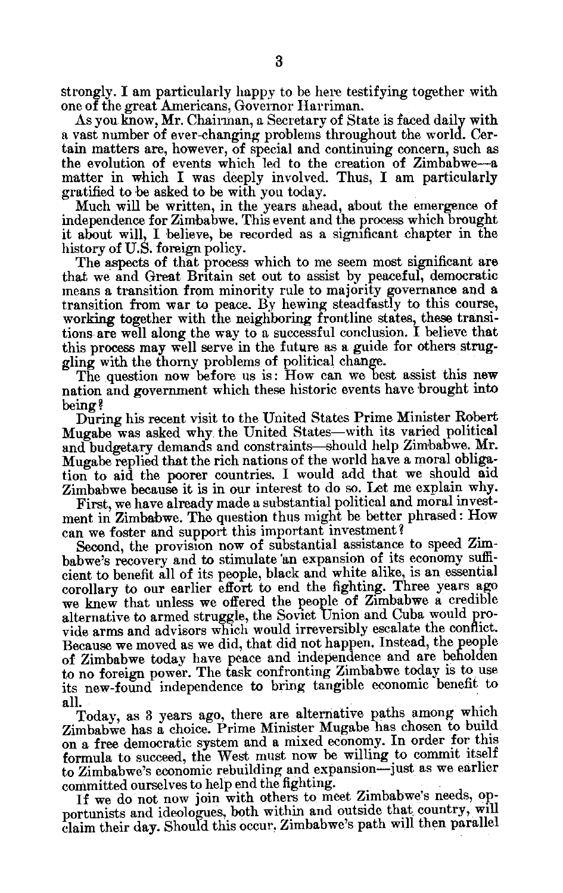strongly. I am particularly happy to be here testifying together with one of the great Americans, Governor Harriman.

As you know, Mr. Chairman, a Secretary of State is faced daily with a vast number of ever-changing problems throughout the world. Cer tain matters are, however, of special and continuing concern, such as the evolution of events which led to the creation of Zimbabwe-a matter in which I was deeply involved. Thus, I am particularly gratified to be asked to be with you today.

Much will be written, in the years ahead, about the emergence of independence for Zimbabwe. This event and the process which brought it about will, I believe, be recorded as a significant chapter in the history of U.S. foreign policy.

The aspects of that process which to me seem most significant are that we and Great Britain set out to assist by peaceful, democratic means a transition from minority rule to majority governance and a transition from war to peace. By hewing steadfastly to this course, working together with the neighboring frontline states, these transitions are well along the way to a successful conclusion. I believe that this process may well serve in the future as a guide for others strug gling with the thorny problems of political change.

The question now before us is: How can we best assist this new nation and government which these historic events have brought into being?

During his recent visit to the United States Prime Minister Robert Mugabe was asked why the United States-with its varied political and budgetary demands and constraints-should help Zimbabwe. Mr. Mugabe replied that the rich nations of the world have a moral obliga tion to aid the poorer countries. I would add that we should aid Zimbabwe because it is in our interest to do so. Let me explain why.

First, we have already made a substantial political and moral investment in Zimbabwe. The question thus might be better phrased: How can we foster and support this important investment?

Second, the provision now of substantial assistance to speed Zim babwe's recovery and to stimulate 'an expansion of its economy suffi cient to benefit all of its people, black and white alike, is an essential corollary to our earlier effort to end the fighting. Three years ago we knew that unless we offered the people of Zimbabwe a credible alternative to armed struggle, the Soviet Union and Cuba would pro vide arms and advisors which would irreversibly escalate the conflict. Because we moved as we did, that did not happen. Instead, the people of Zimbabwe today have peace and independence and are beholden to no foreign power. The task confronting Zimbabwe today is to use its new-found independence to bring tangible economic benefit to all.

Today, as 3 years ago, there are alternative paths among which Zimbabwe has a choice. Prime Minister Mugabe has chosen to build on a free democratic system and a mixed economy. In order for this formula to succeed, the West must now be willing to commit itself to Zimbabwe's economic rebuilding and expansion-just as we earlier committed ourselves to help end the fighting.

If we do not now join with others to meet Zimbabwe's needs, op portunists and ideologues, both within and outside that country, will claim their day. Should this occur., Zimbabwe's path will then parallel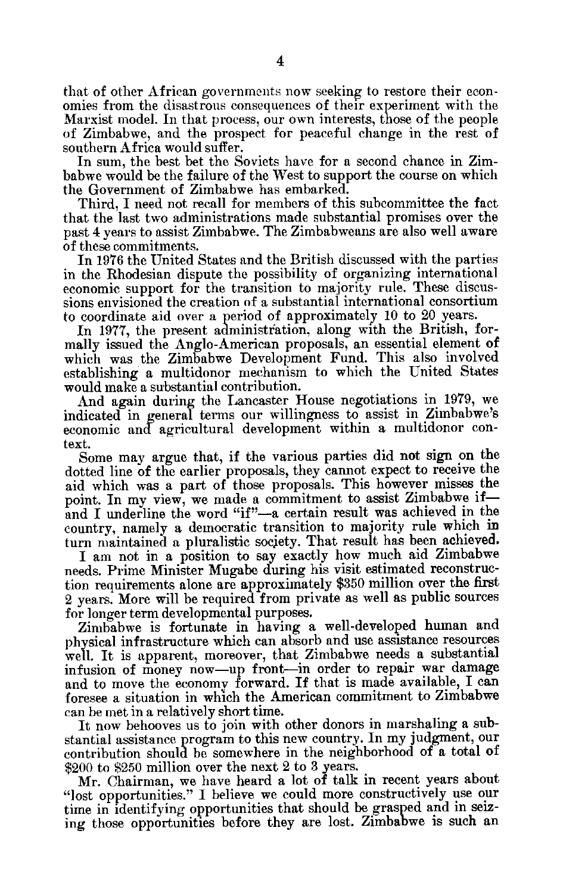that of other African governments now seeking to restore their econ omies from the disastrous consequences of their experiment with the Marxist model. In that process, our own interests, those of the people of Zimbabwe, and the prospect for peaceful change in the rest of southern Africa would suffer.

In sum, the best bet the Soviets have for a second chance in Zim babwe would be the failure of the West to support the course on which the Government of Zimbabwe has embarked.

Third, I need not recall for members of this subcommittee the fact that the last two administrations made substantial promises over the past 4 years to assist Zimbabwe. The Zimbabweans are also well aware of these commitments.

In 1976 the United States and the British discussed with the parties in the Rhodesian dispute the possibility of organizing international economic support for the transition to majority rule. These discus sions envisioned the creation of a substantial international consortium to coordinate aid over a period of approximately 10 to 20 years.

In 1977, the present administration, along with the British, formally issued the Anglo-American proposals, an essential element of which was the Zimbabwe Development Fund. This also involved establishing a multidonor mechanism to which the United States would make a substantial contribution.

And again during the Lancaster House negotiations in 1979, we indicated in general terms our willingness to assist in Zimbabwe's economic and agricultural development within a multidonor con text.

Some may argue that, if the various parties did not sign on the dotted line of the earlier proposals, they cannot expect to receive the aid which was a part of those proposals. This however misses the point. In my view, we made a commitment to assist Zimbabwe if and I underline the word "if"-a certain result was achieved in the country, namely a democratic transition to majority rule which in turn maintained a pluralistic society. That result has been achieved.

I am not in a position to say exactly how much aid Zimbabwe needs. Prime Minister Mugabe during his visit estimated reconstruc tion requirements alone are approximately \$350 million over the first 2 years. More will be required from private as well as public sources for longer term developmental purposes.

Zimbabwe is fortunate in having a well-developed human and physical infrastructure which can absorb and use assistance resources well. It is apparent, moreover, that Zimbabwe needs a substantial infusion of money now-up front-in order to repair war damage and to move the economy forward. If that is made available, I can foresee a situation in which the American commitment to Zimbabwe can be met in a relatively short time.

It now behooves us to join with other donors in marshaling a sub stantial assistance program to this new country. In my judgment, our contribution should be somewhere in the neighborhood of a total of \$200 to \$250 million over the next 2 to 3 years.

Mr. Chairman, we have heard a lot of talk in recent years about "lost opportunities." I believe we could more constructively use our time in identifying opportunities that should be grasped and in seiz ing those opportunities before they are lost. Zimbabwe is such an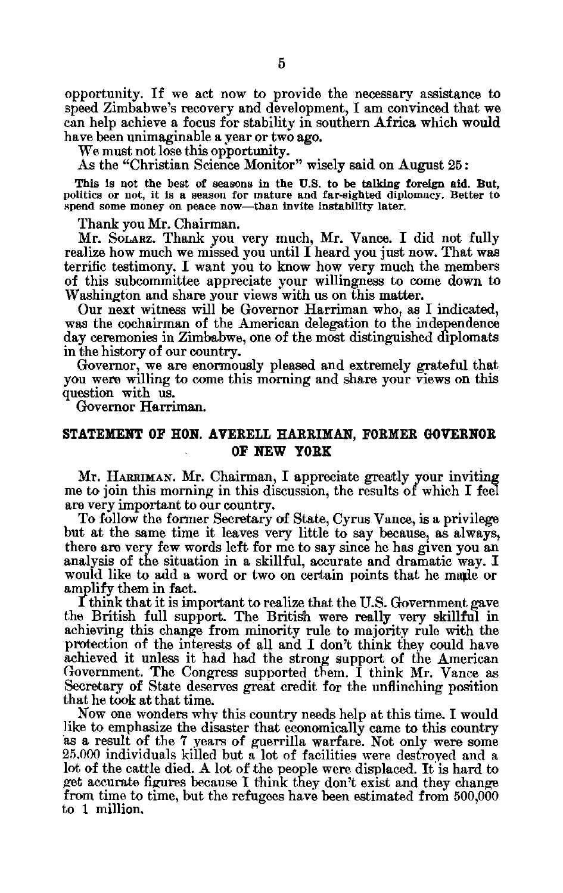opportunity. If we act now to provide the necessary assistance to speed Zimbabwe's recovery and development, I am convinced that we can help achieve a focus for stability in southern Africa which would have been unimaginable a year or two ago.

We must not lose this opportunity.

As the "Christian Science Monitor" wisely said on August **25:** 

This Is not the best of seasons in the **U.S.** to be talking foreign aid. But, politics or not, it is a season for mature and far-sighted diplomacy. Better to spend some money on peace now-than invite instability later.

Thank you Mr. Chairman.

Mr. SOLARZ. Thank you very much, Mr. Vance. I did not fully realize how much we missed you until I heard you just now. That was terrific testimony. I want you to know how very much the members of this subcommittee appreciate your willingness to come down to Washington and share your views with us on this matter.

Our next witness will be Governor Harriman who, as I indicated, was the cochairman of the American delegation to the independence day ceremonies in Zimbabwe, one of the most distinguished diplomats in the history of our country.

Governor, we are enormously pleased and extremely grateful that you were willing to come this morning and share your views on this question with us.

Governor Harriman.

#### **STATEMENT OF HON.** AVERELL HARRIMAN, FORMER GOVERNOR OF **NEW YORK**

Mr. HARRIMAN. Mr. Chairman, I appreciate greatly your inviting me to join this morning in this discussion, the results of which **I** feel are very important to our country.

To follow the former Secretary of State, Cyrus Vance, is a privilege but at the same time it leaves very little to say because, as always, there are very few words left for me to say since he has given you an analysis of the situation in a skillful, accurate and dramatic way. I would like to add a word or two on certain points that he maple or amplify them in fact.

I think that it is important to realize that the U.S. Government gave the British full support. The British were really very skillful in achieving this change from minority rule to majority rule with the protection of the interests of **all** and I don't think they could have achieved it unless it had had the strong support of the American Government. The Congress supported them. I think Mr. Vance as Secretary of State deserves great credit for the unflinching position that he took at that time.

Now one wonders why this country needs help at this time. **I** would like to emphasize the disaster that economically came to this country as a result of the **7** years of guerrilla warfare. Not only were some 25.000 individuals killed but a lot of facilities were destroyed and a lot of the cattle died. A lot of the people were displaced. It is hard to get accurate figures because I think they don't exist and they change from time to time, but the refugees have been estimated from 500,000 to 1 million.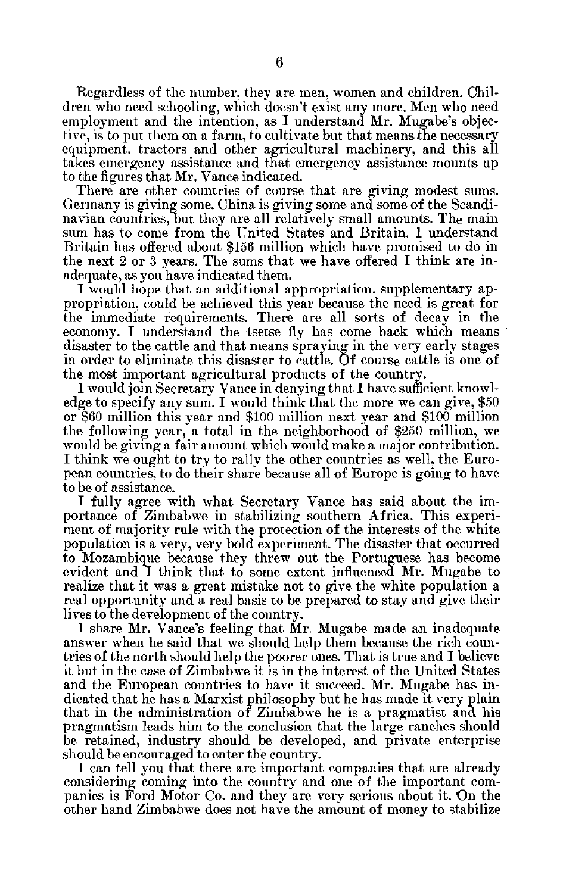Regardless of the number, they are men, women and children. Chil dren who need schooling, which doesn't exist any more. Men who need employment and the intention, as I understand Mr. Mugabe's objec tive, is to put them on a farm, to cultivate but that means the necessary equipment, tractors and other agricultural machinery, and this all takes emergency assistance and that emergency assistance mounts up to the figures that Mr. Vance indicated.

There are other countries of course that are giving modest sums. Germany is giving some. China is giving some and some of the Scandi navian countries, but they are all relatively small amounts. The main sum has to come from the United States and Britain. I understand Britain has offered about \$156 million which have promised to do in the next 2 or 3 years. The sums that we have offered I think are in adequate, as you have indicated them.

I would hope that an additional appropriation, supplementary ap propriation, could be achieved this year because the need is great for the immediate requirements. There are all sorts of decay in the economy. I understand the tsetse fly has come back which means disaster to the cattle and that means spraying in the very early stages in order to eliminate this disaster to cattle. Of course cattle is one of the most important agricultural products of the country.

I would join Secretary Vance in denying that I have sufficient knowl edge to specify any sum. I would think that the more we can give, \$50 or \$60 million this year and \$100 million next year and \$100 million the following year, a total in the neighborhood of \$250 million, we would be giving a fair amount which would make a major contribution. I think we ought to try to rally the other countries as well, the Euro pean countries, to do their share because all of Europe is going to have to be of assistance.

I fully agree with what Secretary Vance has said about the im portance of Zimbabwe in stabilizing southern Africa. This experi ment of majority rule with the protection of the interests of the white population is a very, very bold experiment. The disaster that occurred to Mozambique because they threw out the Portuguese has become evident and I think that to some extent influenced Mr. Mugabe to realize that it was a great mistake not to give the white population a real opportunity and a real basis to be prepared to stay and give their lives to the development of the country.

I share Mr. Vance's feeling that Mr. Mugabe made an inadequate answer when he said that we should help them because the rich coun tries of the north should help the poorer ones. That is true and I believe it but in the case of Zimbabwe it is in the interest of the United States and the European countries to have it succeed. Mr. Mugabe has in dicated that he has a Marxist philosophy but he has made it very plain that in the administration of Zimbabwe he is a pragmatist and his pragmatism leads him to the conclusion that the large ranches should be retained, industry should be developed, and private enterprise should be encouraged to enter the country.

I can tell you that there are important companies that are already considering coming into the country and one of the important com panies is Ford Motor Co. and they are very serious about it. On the other hand Zimbabwe does not have the amount of money to stabilize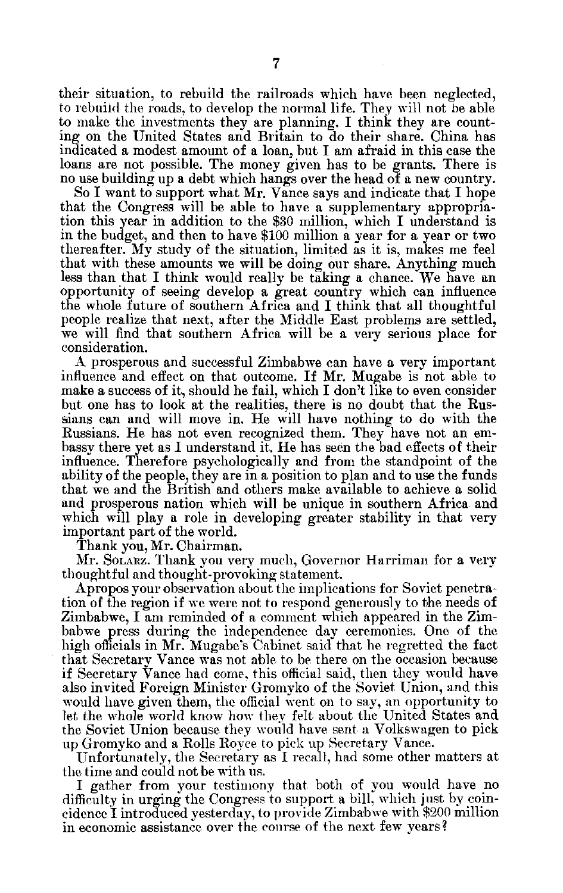their situation, to rebuild the railroads which have been neglected, to rebuild the roads, to develop the normal life. They will not be able to make the investments they are planning. I think they are count ing on the United States and Britain to do their share. China has indicated a modest amount of a loan, but I am afraid in this case the loans are not possible. The money given has to be grants. There is no use building up a debt which hangs over the head of a new country.

So I want to support what Mr. Vance says and indicate that I hope that the Congress will be able to have a supplementary appropria tion this year in addition to the \$30 million, which I understand is in the budget, and then to have \$100 million a year for a year or two thereafter. My study of the situation, limited as it is, makes me feel that with these amounts we will be doing our share. Anything much less than that I think would really be taking a chance. We have an opportunity of seeing develop a great country which can influence the whole future of southern Africa and I think that all thoughtful people realize that next, after the Middle East problems are settled, we will find that southern Africa will be a very serious place for consideration.

A prosperous and successful Zimbabwe can have a very important influence and effect on that outcome. If Mr. Mugabe is not able to make a success of it, should he fail, which I don't like to even consider but one has to look at the realities, there is no doubt that the Rus sians can and will move in. He will have nothing to do with the Russians. He has not even recognized them. They have not an em bassy there yet as I understand it. He has seen the bad effects of their influence. Therefore psychologically and from the standpoint of the ability of the people, they are in a position to plan and to use the funds that we and the British and others make available to achieve a solid and prosperous nation which will be unique in southern Africa and which will play a role in developing greater stability in that very important part of the world.

Thank you, Mr. Chairman.

Mr. SOLARZ. Thank you very much, Governor Harriman for a very thoughtful and thought-provoking statement.

Apropos your observation about the implications for Soviet penetra tion of the region if we were not to respond generously to the needs of Zimbabwe, I am reminded of a comment which appeared in the Zim babwe press during the independence day ceremonies. One of the high officials in Mr. Mugabe's Cabinet said that he regretted the fact that Secretary Vance was not able to be there on the occasion because if Secretary Vance had come, this official said, then they would have also invited Foreign Minister Gromyko of the Soviet Union, and this would have given them, the official went on to say, an opportunity to let the whole world know how they felt about the United States and the Soviet Union because they would have sent a Volkswagen to pick up Gromyko and a Rolls Royce to pick up Secretary Vance.

Unfortunately, the Secretary as I recall, had some other matters at the time and could not be with us.

I gather from your testimony that both of you would have no difficulty in urging the Congress to support a bill, which just by coin cidence I introduced yesterday, to provide Zimbabwe with \$200 million in economic assistance over the course of the next few years?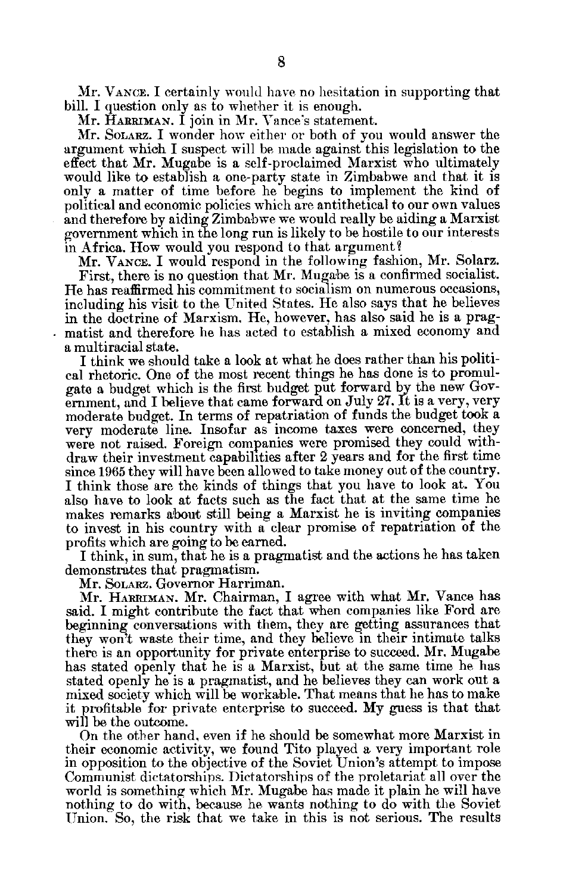Mr. **VANCE.** I certainly would have no hesitation in supporting that bill. I question only as to whether it is enough.

Mr. HARRIMAN. I join in Mr. Vance's statement.

Mr. SOLARZ. I wonder how either or both of you would answer the argument which I suspect will be made against this legislation to the effect that Mr. Mugabe is a self-proclaimed Marxist who ultimately would like to establish a one-party state in Zimbabwe and that it is only a matter of time before he begins to implement the kind of political and economic policies which are antithetical to our own values and therefore by aiding Zimbabwe we would really be aiding a Marxist government which in the long run is likely to be hostile to our interests in Africa. How would you respond to that argument ?

Mr. **VANCE.** I would respond in the following fashion, Mr. Solarz.

First, there is no question that Mr. Mugabe is a confirmed socialist. He has reaffirmed his commitment to socialism on numerous occasions, including his visit to the United States. He also says that he believes in the doctrine of Marxism. He, however, has also said he is a pragmatist and therefore he has acted to establish a mixed economy and a multiracial state.

I think we should take a look at what he does rather than his politi cal rhetoric. One of the most recent things he has done is to promul gate a budget which is the first budget put forward by the new Gov ernment, and I believe that came forward on July 27. It is a very, very moderate budget. In terms of repatriation of funds the budget took a very moderate line. Insofar as income taxes were concerned, they were not raised. Foreign companies were promised they could with draw their investment capabilities after 2 years and for the first time since 1965 they will have been allowed to take money out of the country. I think those are the kinds of things that you have to look at. You also have to look at facts such as the fact that at the same time he makes remarks about still being a Marxist he is inviting companies to invest in his country with a clear promise of repatriation of the profits which are going to be earned.

I think, in sum, that he is a pragmatist and the actions he has taken demonstrates that pragmatism.

Mr. SoLARz. Governor Harriman.

Mr. HARRIMAN. Mr. Chairman, I agree with what Mr. Vance has said. I might contribute the fact that when companies like Ford are beginning conversations with them, they are getting assurances that they won't waste their time, and they believe in their intimate talks there is an opportunity for private enterprise to succeed. Mr. Mugabe has stated openly that he is a Marxist, but at the same time he has stated openly he is a pragmatist, and he believes they can work out a mixed society which will be workable. That means that he has to make it profitable for private enterprise to succeed. My guess is that that will be the outcome.

On the other hand, even if he should be somewhat more Marxist in their economic activity, we found Tito played a very important role in opposition to the objective of the Soviet Union's attempt to impose Communist dictatorships. Dictatorships of the proletariat all over the world is something which Mr. Mugabe has made it plain he will have nothing to do with, because he wants nothing to do with the Soviet Union. So, the risk that we take in this is not serious. The results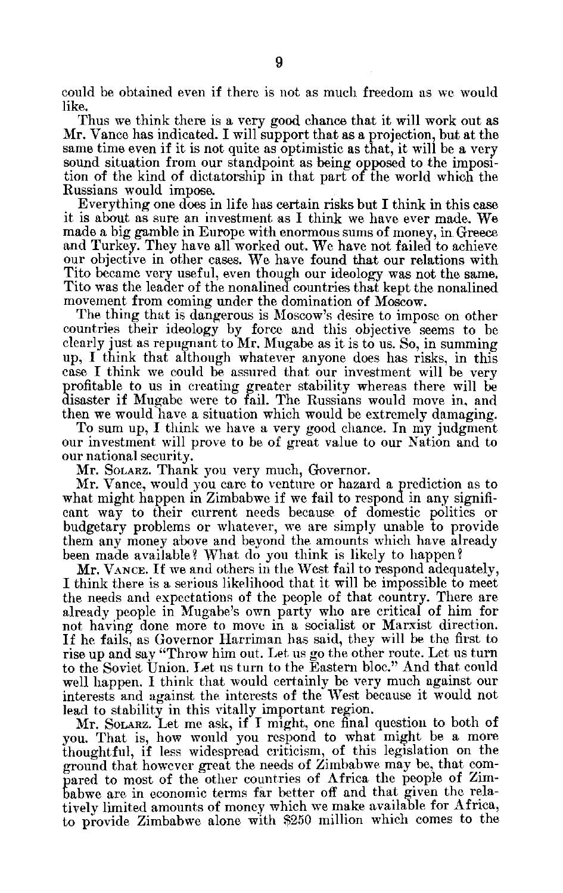could be obtained even if there is not as much freedom as we would like.

Thus we think there is a very good chance that it will work out as Mr. Vance has indicated. I will support that as a projection, but at the same time even if it is not quite as optimistic as that, it will be a very sound situation from our standpoint as being opposed to the imposi tion of the kind of dictatorship in that part of the world which the Russians would impose.

Everything one does in life has certain risks but I think in this case it is about as sure an investment as I think we have ever made. We made a big gamble in Europe with enormous sums of money, in Greece and Turkey. They have all worked out. We have not failed to achieve our objective in other cases. We have found that our relations with Tito became very useful, even though our ideology was not the same. Tito was the leader of the nonalined countries that kept the nonalined movement from coming under the domination of Moscow.

The thing that is dangerous is Moscow's desire to impose on other countries their ideology by force and this objective seems to be clearly just as repugnant to Mr. Mugabe as it is to us. So, in summing up, I think that although whatever anyone does has risks, in this case I think we could be assured that our investment will be very profitable to us in creating greater stability whereas there will be disaster if Mugabe were to fail. The Russians would move in, and then we would have a situation which would be extremely damaging.

To sum up, I think we have a very good chance. In my judgment our investment will prove to be of great value to our Nation and to our national security.

Mr. SOLARZ. Thank you very much, Governor.

Mr. Vance, would you care to venture or hazard a prediction as to what might happen in Zimbabwe if we fail to respond in any signifi cant way to their current needs because of domestic politics or budgetary problems or whatever, we are simply unable to provide them any money above and beyond the amounts which have already been made available? What do you think is likely to happen?

Mr. **VANCE.** If we and others in the West fail to respond adequately, I think there is a serious likelihood that it will be impossible to meet the needs and expectations of the people of that country. There are already people in Mugabe's own party who are critical of him for not having done more to move in a socialist or Marxist direction. If he fails, as Governor Harriman has said, they will be the first to rise up and say "Throw him out. Let us go the other route. Let us turn to the Soviet Union. Let us turn to the Eastern bloc." And that could well happen. I think that would certainly be very much against our interests and against the interests of the West because it would not lead to stability in this vitally important region.

Mr. SOLARZ. Let me ask, if I might, one final question to both of you. That is, how would you respond to what might be a more thoughtful, if less widespread criticism, of this legislation on the ground that however great the needs of Zimbabwe may be, that com pared to most of the other countries of Africa the people of Zim babwe are in economic terms far better off and that given the rela tively limited amounts of money which we make available for Africa, to provide Zimbabwe alone with \$250 million which comes to the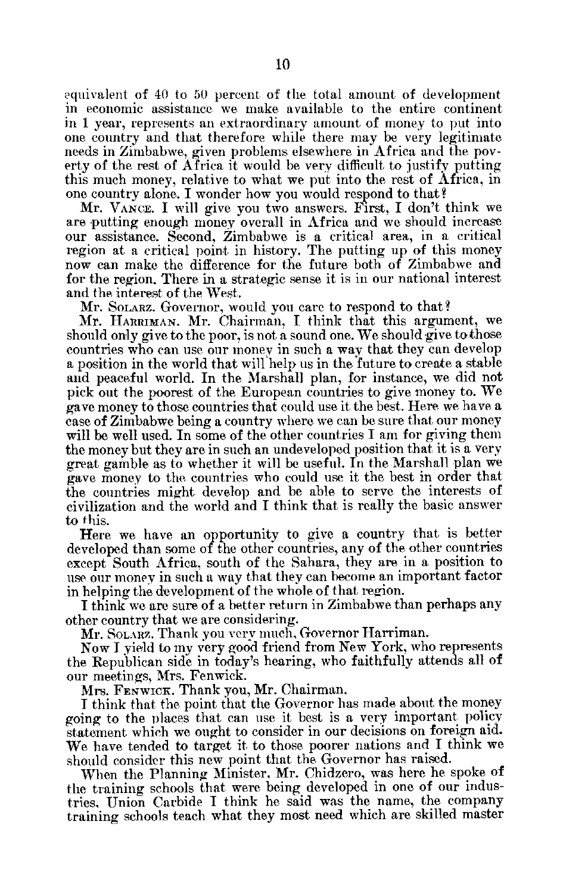equivalent of 40 to 50 percent of the total amount of development in economic assistance we make available to the entire continent in 1 year, represents an extraordinary amount of money to put into one country and that therefore while there may be very legitimate needs in Zimbabwe, given problems elsewhere in Africa and the pov erty of the rest of Africa it would be very difficult to justify putting this much money, relative to what we put into the rest of Africa, in one country alone. I wonder how you would respond to that?

Mr. VANCE. I will give you two answers. First, I don't think we are 'putting enough money overall in Africa and we should increase our assistance. Second, Zimbabwe is a critical area, in a critical region at a critical point in history. The putting up of this money now can make the difference for the future both of Zimbabwe and for the region. There in a strategic sense it is in our national interest and the interest of the West.

Mr. SOLARZ. Governor, would you care to respond to that?

Mr. HARRIMAN. Mr. Chairman, I think that this argument, we should only give to the poor, is not a sound one. We should give to those countries who can use our monev in such a way that they can develop a position in the world that willihelp us in the future to create a stable and peaceful world. In the Marshall plan, for instance, we did not pick out the poorest of the European countries to give money to. We gave money to those countries that could use it the best. Here we have a case of Zimbabwe being a country where we can be sure that our money will be well used. In some of the other countries I am for giving them the money but they are in such an undeveloped position that it is a very great gamble as to whether it will be useful. In the Marshall plan we gave money to the countries who could use it the best in order that the countries might develop and be able to serve the interests of civilization and the world and I think that is really the basic answer to this.

Here we have an opportunity to give a country that is better developed than some of the other countries, any of the other countries except South Africa, south of the Sahara, they are in a position to use our money in such a way that they can become an important factor in helping the development of the whole of that region.

**I** think we are sure of a better return in Zimbabwe than perhaps any other country that we are considering.

Mr. SOLARZ. Thank you very much, Governor Harriman.

Now I yield to my very good friend from New York, who represents the Republican side in today's hearing, who faithfully attends all of our meetings, Mrs. Fenwick.

Mrs. FENwiCK. Thank you, Mr. Chairman.

I think that the point that the Governor has made about the money going to the places that can use it best is a very important policy statement which we ought to consider in our decisions on foreign aid. We have tended to target it to those poorer nations and I think we should consider this new point that the. Governor has raised.

When the Planning Minister. Mr. Chidzero, was here he spoke of the training schools that were being developed in one of our indus tries, Union Carbide I think he said was the name, the company training schools teach what they most need which are skilled master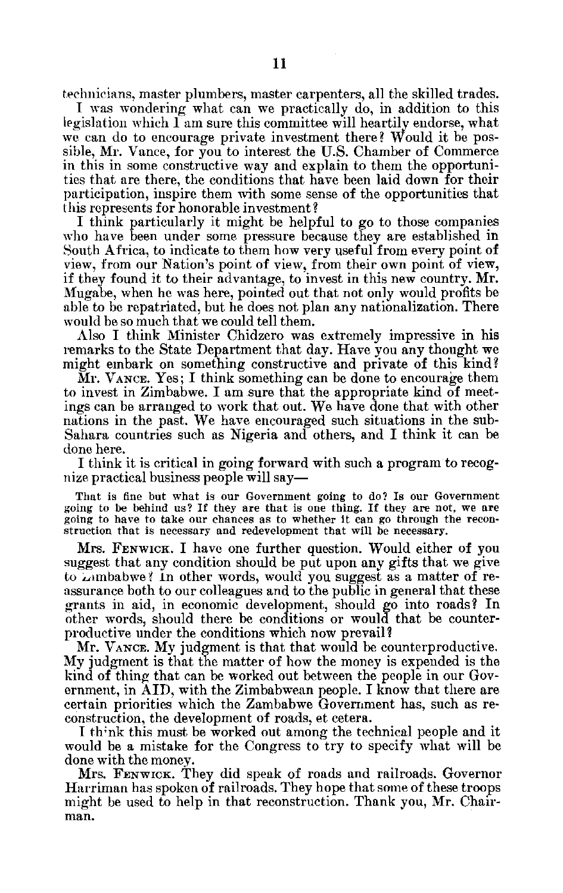technicians, master plumbers, master carpenters, all the skilled trades.

I was wondering what can we practically do, in addition to this legislation which I am sure this committee will heartily endorse, what we can do to encourage private investment there? Would it be pos sible, Mr. Vance, for you to interest the U.S. Chamber of Commerce in this in some constructive way and explain to them the opportuni ties that are there, the conditions that have been laid down for their participation, inspire them with some sense of the opportunities that this represents for honorable investment?

I think particularly it might be helpful to go to those companies who have been under some pressure because they are established in South Africa, to indicate to them how very useful from every point of view, from our Nation's point of view, from their own point of view, if they found it to their advantage, to invest in this new country. Mr. Mugabe, when he was here, pointed out that not only would profits be able to be repatriated, but he does not plan any nationalization. There would be so much that we could tell them.

Also I think Minister Chidzero was extremely impressive in his remarks to the State Department that day. Have you any thought we might embark on something constructive and private of this kind?

Mr. **VANCE.** Yes; I think something can be done to encourage them to invest in Zimbabwe. I am sure that the appropriate kind of meet ings can be arranged to work that out. We have done that with other nations in the past. We have encouraged such situations in the sub Sahara countries such as Nigeria and others, and I think it can be done here.

I think it is critical in going forward with such a program to recog nize practical business people will say

That is fine but what is our Government going to do? Is our Government going to be behind us? If they are that is one thing. If they are not, we are going to have to take our chances as to whether it can go through the recon struction that is necessary and redevelopment that will be necessary.

Mrs. FENWICK. I have one further question. Would either of you suggest that any condition should be put upon any gifts that we give to Limbabwe? In other words, would you suggest as a matter of reassurance both to our colleagues and to the public in general that these grants in aid, in economic development, should go into roads? In other words, should there be conditions or would that be counter productive under the conditions which now prevail?

Mr. VANCE. My judgment is that that would be counterproductive. My judgment is that the matter of how the money is expended is the kind of thing that can be worked out between the people in our Gov ernment, in AID, with the Zimbabwean people. I know that there are certain priorities which the Zambabwe Government has, such as re construction, the development of roads, et cetera.

I think this must be worked out among the technical people and it would be a mistake for the Congress to try to specify what will be done with the money.

Mrs. FENWICK. They did speak of roads and railroads. Governor Harriman has spoken of railroads. They hope that some of these troops might be used to help in that reconstruction. Thank you, Mr. Chair man.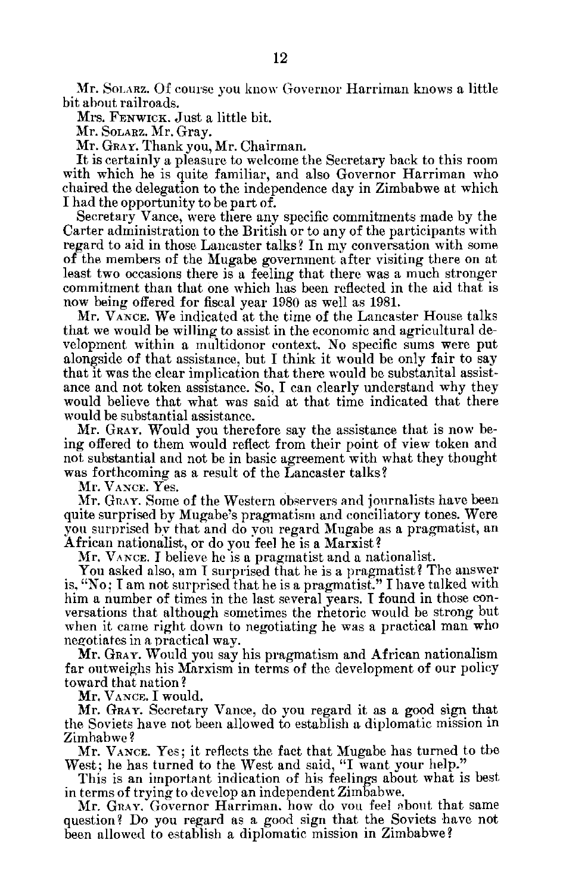Mr. SOLARZ. Of course you know Governor Harriman knows a little bit about railroads.

Mrs. FENWICK. Just a little bit.

Mr. SOLARZ. Mr. Gray.

Mr. GRAY. Thank you, Mr. Chairman.

It is certainly a pleasure to welcome the Secretary back to this room with which he is quite familiar, and also Governor Harriman who chaired the delegation to the independence day in Zimbabwe at which I had the opportunity to be part of.

Secretary Vance, were there any specific commitments made by the Carter administration to the British or to any of the participants with regard to aid in those Lancaster talks? In my conversation with some of the members of the Mugabe government after visiting there on at least two occasions there is a feeling that there was a much stronger commitment than that one which has been reflected in the aid that is now being offered for fiscal year 1980 as well as 1981.

Mr. VANCE. We indicated at the time of the Lancaster House talks that we would be willing to assist in the economic and agricultural de velopment within a multidonor context. No specific sums were put alongside of that assistance, but I think it would be only fair to say that it was the clear implication that there would be substanital assist ance and not token assistance. So, I can clearly understand why they would believe that what was said at that time indicated that there would be substantial assistance.

Mr. GRAY. Would you therefore say the assistance that is now be ing offered to them would reflect from their point of view token and not substantial and not be in basic agreement with what they thought was forthcoming as a result of the Lancaster talks?

Mr. **VANCE.** Yes.

Mr. GRAY. Some of the Western observers and journalists have been quite surprised by Mugabe's pragmatism and conciliatory tones. Were you surprised by that and do you regard Mugabe as a pragmatist, an African nationalist, or do you feel he is a Marxist?

Mr. **VANCE.** I believe he is a pragmatist and a nationalist.

You asked also, am I surprised that he is a pragmatist? The answer is, "No; I am not surprised that he is a pragmatist." I have talked with him a number of times in the last several years. I found in those conversations that although sometimes the rhetoric would be strong but when it came right down to negotiating he was a practical man who negotiates in a practical way.

Mr. GRAY. Would you say his pragmatism and African nationalism far outweighs his Marxism in terms of the development of our policy toward that nation?

Mr. **VANCE.** I would.

Mr. **GRAY.** Secretary Vance, do you regard it as a good sign that the Soviets have not been allowed to establish a diplomatic mission in Zimbabwe?

Mr. **VANCE.** Yes; it reflects the fact that Mugabe has turned to the West; he has turned to the West and said, **"I** want your help."

This is an important indication of his feelings about what is best in terms of trying to develop an independent Zimbabwe.

Mr. **GRAY.** Governor Harriman. how do vou feel ,bout that same question? Do you regard as a good sign that the Soviets have not been allowed to establish a diplomatic mission in Zimbabwe?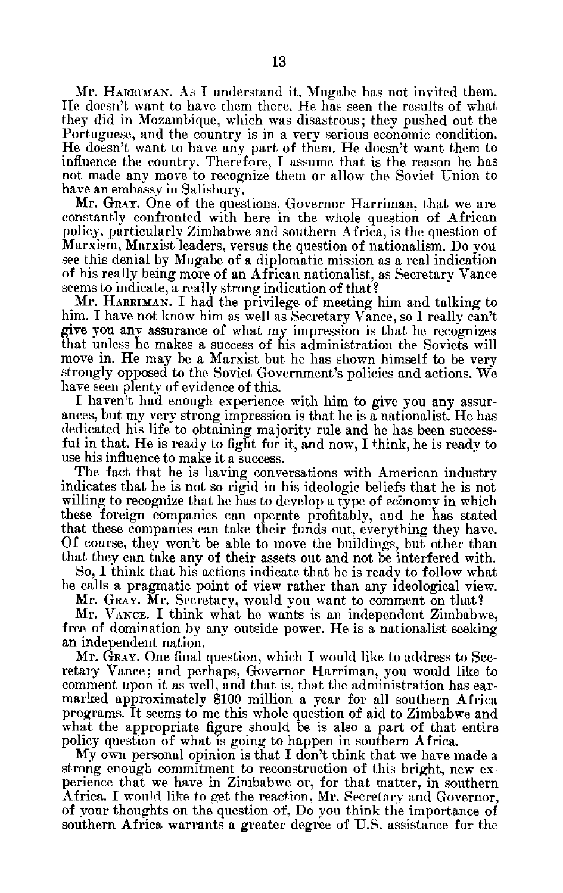Mr. HARRIMAN. As I understand it, Mugabe has not invited them. He doesn't want to have them there. He has seen the results of what they did in Mozambique, which was disastrous; they pushed out the Portuguese, and the country is in a very serious economic condition. He doesn't want to have any part of them. He doesn't want them to influence the country. Therefore, I assume that is the reason he has not made any move to recognize them or allow the Soviet Union to have an embassy in Salisbury.

Mr. GRAY. One of the questions, Governor Harriman, that we are constantly confronted with here in the whole question of African policy, particularly Zimbabwe and southern Africa, is the question of Marxism, Marxist leaders, versus the question of nationalism. Do you see this denial by Mugabe of a diplomatic mission as a real indication of his really being more of an African nationalist, as Secretary Vance seems to indicate, a really strong indication of that?

Mr. **HARRIMAN.** I had the privilege of meeting him and talking to him. I have not know him as well as Secretary Vance, so I really can't give you any assurance of what my impression is that he recognizes that unless he makes a success of his administration the Soviets will move in. He may be a Marxist but he has shown himself to be very strongly opposed to the Soviet Government's policies and actions. We have seen plenty of evidence of this.

I haven't had enough experience with him to give you any assurances, but my very strong impression is that he is a nationalist. He has dedicated his life to obtaining majority rule and he has been success ful in that. He is ready to fight for it, and now, I think, he is ready to use his influence to make it a success.

The fact that he is having conversations with American industry indicates that he is not so rigid in his ideologic beliefs that he is not willing to recognize that he has to develop a type of economy in which these foreign companies can operate profitably, and he has stated that these companies can take their funds out, everything they have. Of course, they won't be able to move the buildings, but other than that they can take any of their assets out and not be interfered with.

So, I think that his actions indicate that he is ready to follow what he calls a pragmatic point of view rather than any ideological view.

Mr. GRAY. Mr. Secretary, would you want to comment on that?

Mr. VANCE. I think what he wants is an independent Zimbabwe, free of domination by any outside power. He is a nationalist seeking an independent nation.

Mr. GRAY. One final question, which I would like to address to Sec retary Vance; and perhaps, Governor Harriman, you would like to comment upon it as well, and that is, that the administration has ear marked approximately \$100 million a year for all southern Africa programs. It seems to me this whole question of aid to Zimbabwe and what the appropriate figure should be is also a part of that entire policy question of what is going to happen in southern Africa.

My own personal opinion is that I don't think that we have made a strong enough commitment to reconstruction of this bright, new ex perience that we have in Zimbabwe or, for that matter, in southern Africa. I would like to get the reaction, Mr. Secretary and Governor, of your thoughts on the question of, Do you think the importance of southern Africa warrants a greater degree of U.S. assistance for the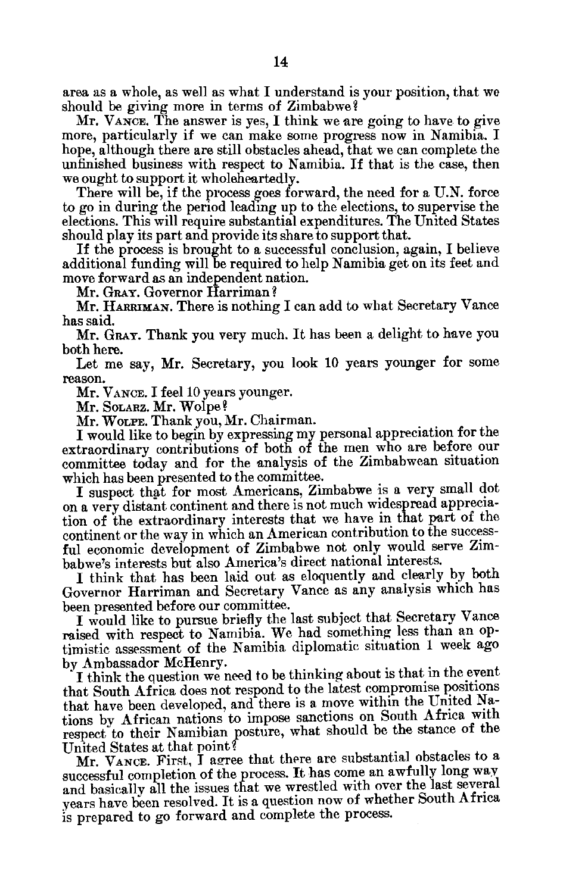area as a whole, as well as what I understand is your position, that we should be giving more in terms of Zimbabwe?

Mr. VANCE. The answer is yes, I think we are going to have to give more, particularly if we can make some progress now in Namibia. I hope, although there are still obstacles ahead, that we can complete the unfinished business with respect to Namibia. **If** that is the case, then we ought to support it wholeheartedly.

There will be, if the process goes forward, the need for a **U.N.** force to go in during the period leading up to the elections, to supervise the elections. This will require substantial expenditures. The United States should play its part and provide its share to support that.

**If** the process is brought to a successful conclusion, again, **I** believe additional funding will be required to help Namibia get on its feet and move forward as an independent nation.

Mr. GRAY. Governor Harriman?

Mr. **HARRIMAN.** There is nothing **I** can add to what Secretary Vance has said.

Mr. GRAY. Thank you very much. It has been a delight to have you both here.

Let me say, Mr. Secretary, you look **10** years younger for some reason.

Mr. VANCE. I feel 10 years younger.

Mr. SOLARZ. Mr. Wolpe?

Mr. **WOLPE.** Thank you, Mr. Chairman.

I would like to begin by expressing my personal appreciation for the extraordinary contributions of both of the men who are before our committee today and for the analysis of the Zimbabwean situation which has been presented to the committee.

I suspect that for most Americans, Zimbabwe is a very small dot on a very distant continent and there is not much widespread apprecia tion of the extraordinary interests that we have in that part of the continent or the way in which an American contribution to the success ful economic development of Zimbabwe not only would serve Zim babwe's interests but also America's direct national interests.

I think that has been laid out as eloquently and clearly by both Governor Harriman and Secretary Vance as any analysis which has been presented before our committee.

I would like to pursue briefly the last subject that Secretary Vance raised with respect to Namibia. We had something less than an op timistic assessment of the Namibia diplomatic situation 1 week ago by Ambassador McHenry.

I think the question we need to be thinking about is that in **the** event that South Africa does not respond to the latest compromise positions that have been developed, and there is a move within the United Na tions by African nations to impose sanctions on South Africa with respect to their Namibian posture, what should be the stance of the United States at that point?

Mr. VANCE. First, I agree that there are substantial obstacles to a successful completion of the process. It has come an awfully long way and basically all the issues that we wrestled with over the last several years have been resolved. It is a question now of whether South Africa is prepared to go forward and complete the process.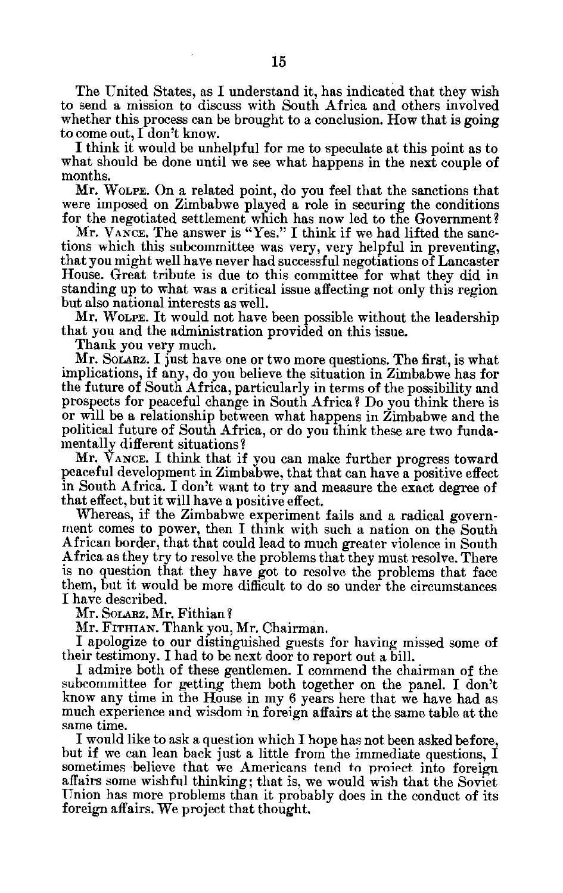The United States, as I understand it, has indicated that they wish to send a mission to discuss with South Africa and others involved whether this process can be brought to a conclusion. How that is going to come out, I don't know.

I think it would be unhelpful for me to speculate at this point as to what should be done until we see what happens in the next couple of months.

Mr. **WOLPE.** On a related point, do you feel that the sanctions that were imposed on Zimbabwe played a role in securing the conditions for the negotiated settlement which has now led to the Government?

Mr. VANCE. The answer is "Yes." I think if we had lifted the sanctions which this subcommittee was very, very helpful in preventing, that you might well have never had successful negotiations of Lancaster House. Great tribute is due to this committee for what they did in standing up to what was a critical issue affecting not only this region but also national interests as well.

Mr. WOLPE. It would not have been possible without the leadership that you and the administration provided on this issue.

Thank you very much.

Mr. SoLARz. I just have one or two more questions. The first, is what implications, if any, do you believe the situation in Zimbabwe has for the future of South Africa, particularly in terms of the possibility and prospects for peaceful change in South Africa? Do you think there is or will be a relationship between what happens in Zimbabwe and the political future of South Africa, or do you think these are two funda mentally different situations?

Mr. **VANCE.** I think that if you can make further progress toward peaceful development in Zimbabwe, that that can have a positive effect in South Africa. I don't want to try and measure the exact degree of that effect, but it will have a positive effect.

Whereas, if the Zimbabwe experiment fails and a radical government comes to power, then I think with such a nation on the South African border, that that could lead to much greater violence in South Africa as they try to resolve the problems that they must resolve. There is no question that they have got to resolve the problems that face them, but it would be more difficult to do so under the circumstances I have described.

Mr. SOLARZ. Mr. Fithian?

Mr. FITHIAN. Thank you, Mr. Chairman.

I apologize to our distinguished guests for having missed some of their testimony. I had to be next door to report out a bill.

I admire both of these gentlemen. I commend the chairman of the subcommittee for getting them both together on the panel. I don't know any time in the House in my 6 years here that we have had as much experience and wisdom in foreign affairs at the same table at the same time.

I would like to ask a question which I hope has not been asked before, but if we can lean back just a little from the immediate questions, I sometimes believe that we Americans tend to proiect into foreign affairs some wishful thinking; that is, we would wish that the Soviet Union has more problems than it probably does in the conduct of its foreign affairs. We project that thought.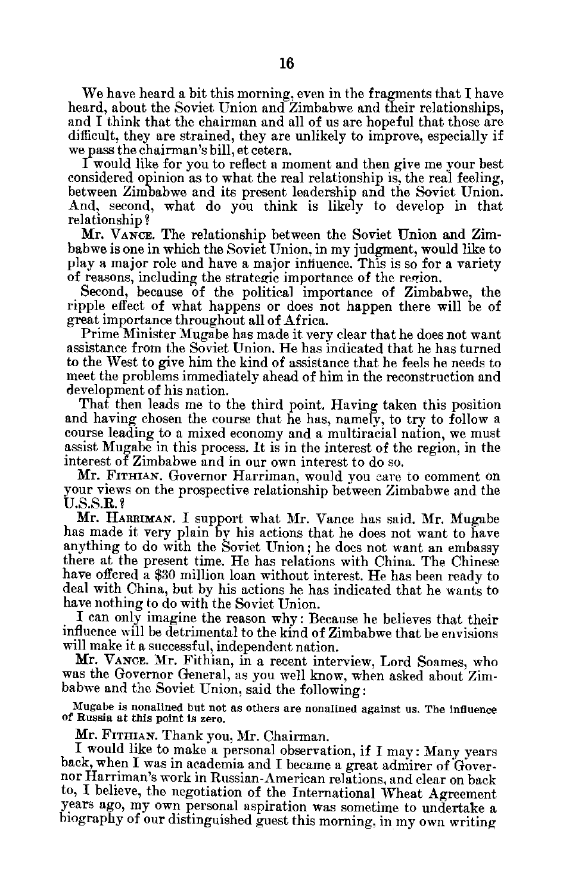We have heard a bit this morning, even in the fragments that I have heard, about the Soviet Union and Zimbabwe and their relationships, and I think that the chairman and all of us are hopeful that those are difficult, they are strained, they are unlikely to improve, especially if we pass the chairman's bill, et cetera.

I would like for you to reflect a moment and then give me your best considered opinion as to what the real relationship is, the real feeling, between Zimbabwe and its present leadership and the Soviet Union. And, second, what do you think is likely to develop in that relationship **?** 

Mr. VANcE. The relationship between the Soviet Union and Zim babwe is one in which the Soviet Union, in my judgment, would like to play a major role and have a major influence. This is so for a variety of reasons, including the strategic importance of the region.

Second, because of the political importance of Zimbabwe, the ripple effect of what happens or does not happen there will be of great importance throughout all of Africa.

Prime Minister Mugabe has made it very clear that he does not want assistance from the Soviet Union. He has indicated that he has turned to the West to give him the kind of assistance that he feels he needs to meet the problems immediately ahead of him in the reconstruction and development of his nation.

That then leads me to the third point. Having taken this position and having chosen the course that he has, namely, to try to follow a course leading to a mixed economy and a multiracial nation, we must assist Mugabe in this process. It is in the interest of the region, in the interest of Zimbabwe and in our own interest to do so.

Mr. FITHIAN. Governor Harriman, would you care to comment on your views on the prospective relationship between Zimbabwe and the U.S.S.R.?

Mr. **HARRIMAN.** I support what Mr. Vance has said. Mr. Mugabe has made it very plain by his actions that he does not want to have anything to do with the Soviet Union; he does not want an embassy there at the present time. He has relations with China. The Chinese have offered a \$30 million loan without interest. He has been ready to deal with China, but by his actions he has indicated that he wants to have nothing to do with the Soviet Union.

I can only imagine the reason why: Because he believes that their influence will be detrimental to the kind of Zimbabwe that he envisions will make it a successful, independent nation.

Mr. VANcE. Mr. Fithian, in a recent interview, Lord Soames, who was the Governor General, as you well know, when asked about Zim babwe and the Soviet Union, said the following:

Mugabe is nonalined but not as others are nonalined against us. The influence of Russia at this point is zero.

Mr. FITHIAN. Thank you, Mr. Chairman.

I would like to make a personal observation, if I may: Many years back, when I was in academia and I became a great admirer of Gover nor Harriman's work in Russian-American relations, and clear on back to, I believe, the negotiation of the International Wheat Agreement years ago, my own personal aspiration was sometime to undertake a biography of our distinguished guest this morning, in my own writing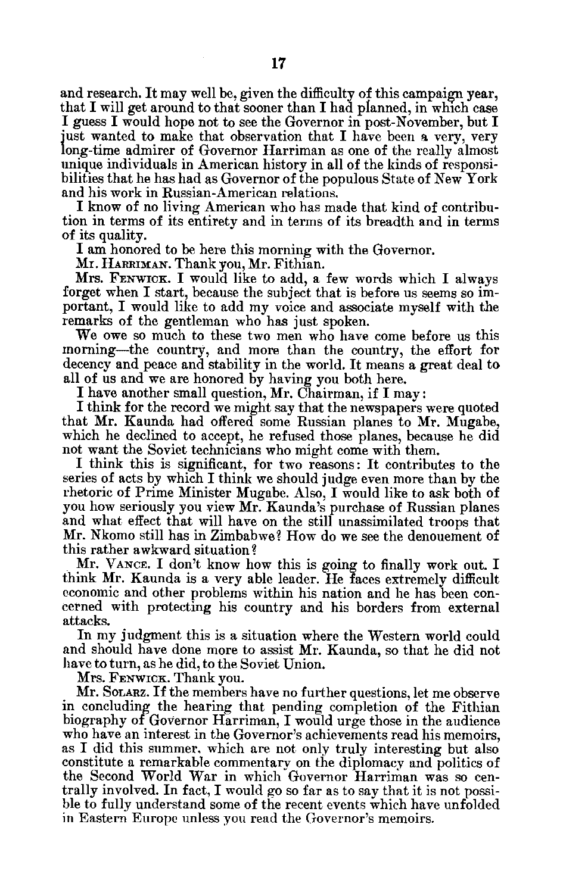and research. It may well be, given the difficulty of this campaign year, that I will get around to that sooner than I had planned, in which case<br>I guess I would hope not to see the Governor in post-November, but I just wanted to make that observation that I have been a very, very long-time admirer of Governor Harriman as one of the really almost unique individuals in American history in all of the kinds of responsi bilities that he has had as Governor of the populous State of New York and his work in Russian-American relations.

I know of no living American who has made that kind of contribu tion in terms of its entirety and in terms of its breadth and in terms of its quality.

I am honored to be here this morning with the Governor.

Mr. **HARRIMAN.** Thank you, Mr. Fithian.

Mrs. **FENWICK.** I would like to add, a few words which I always forget when I start, because the subject that is before us seems so im portant, I would like to add my voice and associate myself with the remarks of the gentleman who has just spoken.

We owe so much to these two men who have come before us this morning-the country, and more than the country, the effort for decency and peace and stability in the world. It means a great deal to all of us and we are honored by having you both here.

I have another small question, Mr. Chairman, if I may:

I think for the record we might say that the newspapers were quoted that Mr. Kaunda had offered some Russian planes to Mr. Mugabe, which he declined to accept, he refused those planes, because he did not want the Soviet technicians who might come with them.

I think this is significant, for two reasons: It contributes to the series of acts by which I think we should judge even more than by the rhetoric of Prime Minister Mugabe. Also, I would like to ask both of you how seriously you view Mr. Kaunda's purchase of Russian planes and what effect that will have on the still unassimilated troops that Mr. Nkomo still has in Zimbabwe? How do we see the denouement of this rather awkward situation?

Mr. VANCE. I don't know how this is going to finally work out. I think Mr. Kaunda is a very able leader. He faces extremely difficult economic and other problems within his nation and he has been con cerned with protecting his country and his borders from external attacks.

In my judgment this is a situation where the Western world could and should have done more to assist Mr. Kaunda, so that he did not have to turn, as he did, to the Soviet Union.

Mrs. **FENwICK.** Thank you.

Mr. SOLARZ. If the members have no further questions, let me observe in concluding the hearing that pending completion of the Fithian biography of Governor Harriman, I would urge those in the audience who have an interest in the Governor's achievements read his memoirs, as I did this summer, which are not only truly interesting but also constitute a remarkable commentary on the diplomacy and politics of the Second World War in which Governor Harriman was so cen trally involved. In fact, I would go so far as to say that it is not possi ble to fully understand some of the recent events which have unfolded in Eastern Europe unless you read the Governor's memoirs.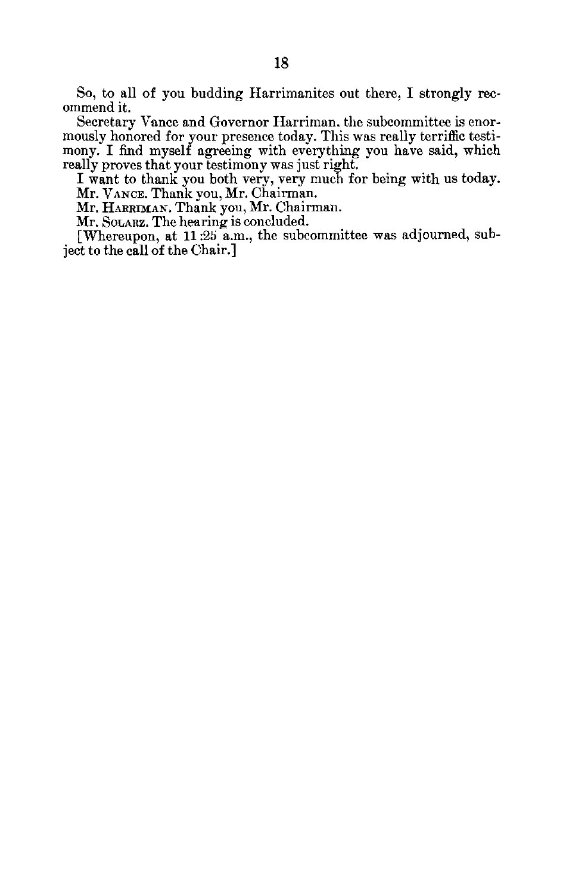So, to all of you budding Harrimanites out there, I strongly rec ommend it.

Secretary Vance and Governor Harriman. the subcommittee is enor mously honored for your presence today. This was really terriffic testi mony. I find myself agreeing with everything you have said, which really proves that your testimony was just right.

I want to thank you both very, very much for being with us today. Mr. **VANCE.** Thank you, Mr. Chairman.

Mr. HARRIMAN. Thank you, Mr. Chairman.

Mr. SOLARZ. The hearing is concluded.

[Whereupon, at 11:25 a.m., the subcommittee was adjourned, sub ject to the call of the Chair.]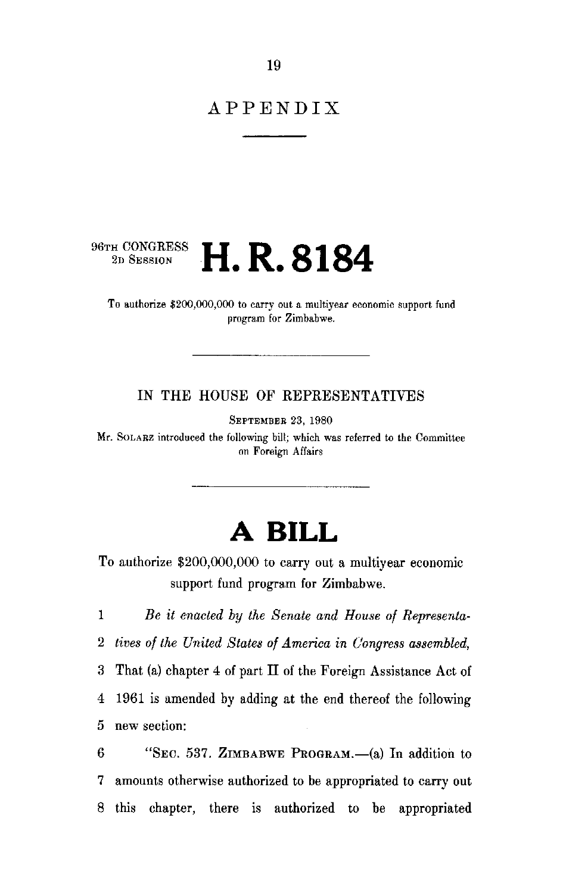### APPENDIX

# **96TH CONGRESS H. R. 8184**

To authorize \$200,000,000 to carry out a multiyear economic support fund program for Zimbabwe.

#### IN THE HOUSE OF REPRESENTATIVES

SEPTEMBER 23, 1980

Mr. SOLARZ introduced the following bill; which was referred to the Committee on Foreign Affairs

## **A BILL**

To authorize \$200,000,000 to carry out a multiyear economic support fund program for Zimbabwe.

1 *Be it enacted by the Senate and House of Representa* 2 *tives of the United States of America in Congress assembled,*  3 That (a) chapter 4 of part II of the Foreign Assistance Act of 4 1961 is amended by adding at the end thereof the following 5 new section:

6 "SEC. 537. ZIMBABWE PROGRAM.— $(a)$  In addition to 7 amounts otherwise authorized to be appropriated to carry out 8 this chapter, there is authorized to be appropriated